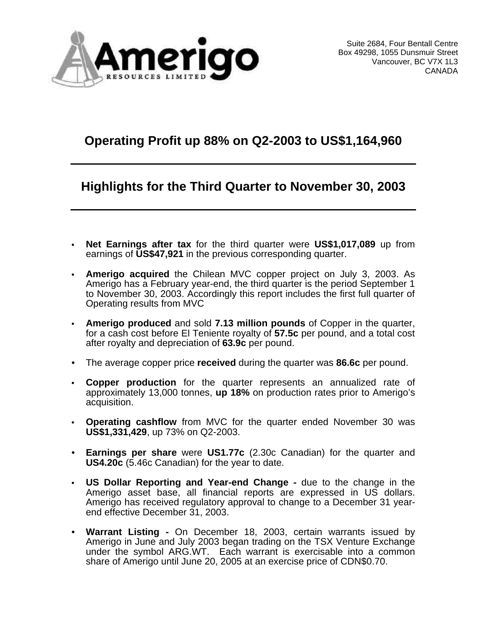

# **Operating Profit up 88% on Q2-2003 to US\$1,164,960**

# **Highlights for the Third Quarter to November 30, 2003**

- **• Net Earnings after tax** for the third quarter were **US\$1,017,089** up from earnings of **US\$47,921** in the previous corresponding quarter.
- **• Amerigo acquired** the Chilean MVC copper project on July 3, 2003. As Amerigo has a February year-end, the third quarter is the period September 1 to November 30, 2003. Accordingly this report includes the first full quarter of Operating results from MVC
- **• Amerigo produced** and sold **7.13 million pounds** of Copper in the quarter, for a cash cost before El Teniente royalty of **57.5c** per pound, and a total cost after royalty and depreciation of **63.9c** per pound.
- The average copper price **received** during the quarter was **86.6c** per pound.
- **• Copper production** for the quarter represents an annualized rate of approximately 13,000 tonnes, **up 18%** on production rates prior to Amerigo's acquisition.
- **• Operating cashflow** from MVC for the quarter ended November 30 was **US\$1,331,429**, up 73% on Q2-2003.
- **Earnings per share** were **US1.77c** (2.30c Canadian) for the quarter and **US4.20c** (5.46c Canadian) for the year to date.
- **• US Dollar Reporting and Year-end Change -** due to the change in the Amerigo asset base, all financial reports are expressed in US dollars. Amerigo has received regulatory approval to change to a December 31 yearend effective December 31, 2003.
- **Warrant Listing -** On December 18, 2003, certain warrants issued by Amerigo in June and July 2003 began trading on the TSX Venture Exchange under the symbol ARG.WT. Each warrant is exercisable into a common share of Amerigo until June 20, 2005 at an exercise price of CDN\$0.70.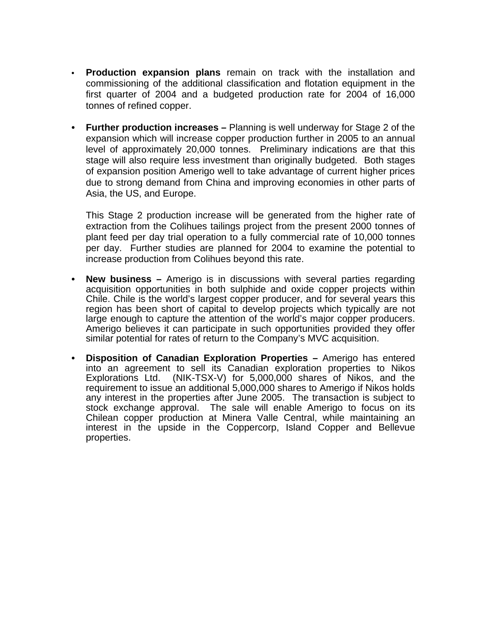- **• Production expansion plans** remain on track with the installation and commissioning of the additional classification and flotation equipment in the first quarter of 2004 and a budgeted production rate for 2004 of 16,000 tonnes of refined copper.
- **• Further production increases –** Planning is well underway for Stage 2 of the expansion which will increase copper production further in 2005 to an annual level of approximately 20,000 tonnes. Preliminary indications are that this stage will also require less investment than originally budgeted. Both stages of expansion position Amerigo well to take advantage of current higher prices due to strong demand from China and improving economies in other parts of Asia, the US, and Europe.

This Stage 2 production increase will be generated from the higher rate of extraction from the Colihues tailings project from the present 2000 tonnes of plant feed per day trial operation to a fully commercial rate of 10,000 tonnes per day. Further studies are planned for 2004 to examine the potential to increase production from Colihues beyond this rate.

- **• New business –** Amerigo is in discussions with several parties regarding acquisition opportunities in both sulphide and oxide copper projects within Chile. Chile is the world's largest copper producer, and for several years this region has been short of capital to develop projects which typically are not large enough to capture the attention of the world's major copper producers. Amerigo believes it can participate in such opportunities provided they offer similar potential for rates of return to the Company's MVC acquisition.
- **• Disposition of Canadian Exploration Properties –** Amerigo has entered into an agreement to sell its Canadian exploration properties to Nikos Explorations Ltd. (NIK-TSX-V) for 5,000,000 shares of Nikos, and the requirement to issue an additional 5,000,000 shares to Amerigo if Nikos holds any interest in the properties after June 2005. The transaction is subject to stock exchange approval. The sale will enable Amerigo to focus on its Chilean copper production at Minera Valle Central, while maintaining an interest in the upside in the Coppercorp, Island Copper and Bellevue properties.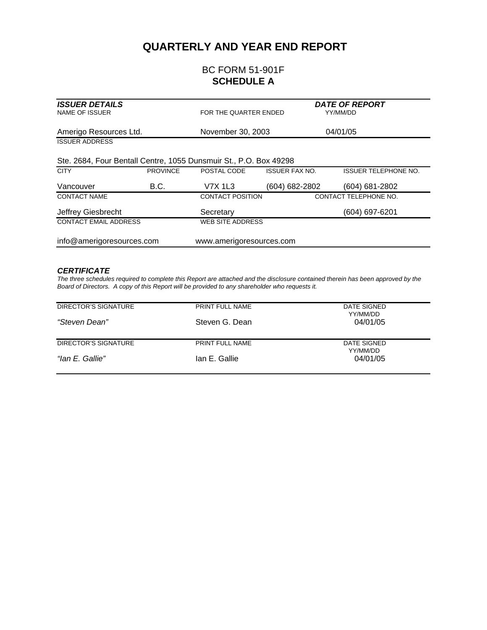#### **QUARTERLY AND YEAR END REPORT**

#### BC FORM 51-901F **SCHEDULE A**

| <b>ISSUER DETAILS</b><br><b>NAME OF ISSUER</b>                    |                 | FOR THE QUARTER ENDED   |                       | <b>DATE OF REPORT</b><br>YY/MM/DD |
|-------------------------------------------------------------------|-----------------|-------------------------|-----------------------|-----------------------------------|
| Amerigo Resources Ltd.                                            |                 | November 30, 2003       |                       | 04/01/05                          |
| <b>ISSUER ADDRESS</b>                                             |                 |                         |                       |                                   |
| Ste. 2684, Four Bentall Centre, 1055 Dunsmuir St., P.O. Box 49298 |                 |                         |                       |                                   |
| <b>CITY</b>                                                       | <b>PROVINCE</b> | POSTAL CODE             | <b>ISSUER FAX NO.</b> | <b>ISSUER TELEPHONE NO.</b>       |
| Vancouver                                                         | B.C.            | V7X 1L3                 | (604) 682-2802        | (604) 681-2802                    |
| <b>CONTACT NAME</b>                                               |                 | <b>CONTACT POSITION</b> |                       | CONTACT TELEPHONE NO.             |
| Jeffrey Giesbrecht                                                |                 | Secretary               |                       | (604) 697-6201                    |
| <b>CONTACT EMAIL ADDRESS</b>                                      |                 | <b>WEB SITE ADDRESS</b> |                       |                                   |
| info@amerigoresources.com<br>www.amerigoresources.com             |                 |                         |                       |                                   |

#### *CERTIFICATE*

*The three schedules required to complete this Report are attached and the disclosure contained therein has been approved by the Board of Directors. A copy of this Report will be provided to any shareholder who requests it.*

| DIRECTOR'S SIGNATURE | PRINT FULL NAME | DATE SIGNED<br>YY/MM/DD |
|----------------------|-----------------|-------------------------|
| "Steven Dean"        | Steven G. Dean  | 04/01/05                |
| DIRECTOR'S SIGNATURE | PRINT FULL NAME | DATE SIGNED<br>YY/MM/DD |
| "lan E. Gallie"      | lan E. Gallie   | 04/01/05                |
|                      |                 |                         |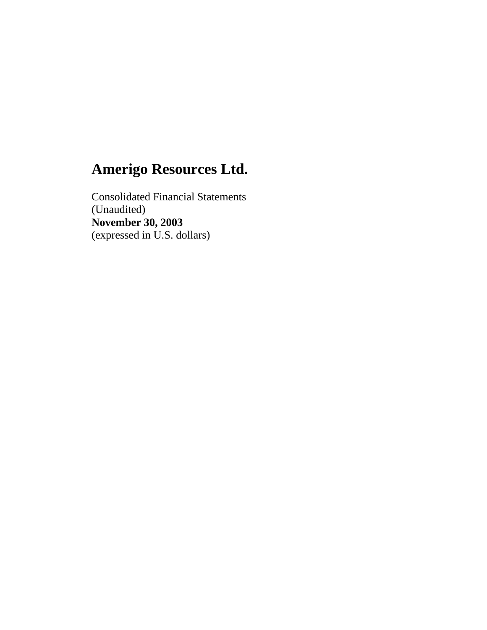Consolidated Financial Statements (Unaudited) **November 30, 2003** (expressed in U.S. dollars)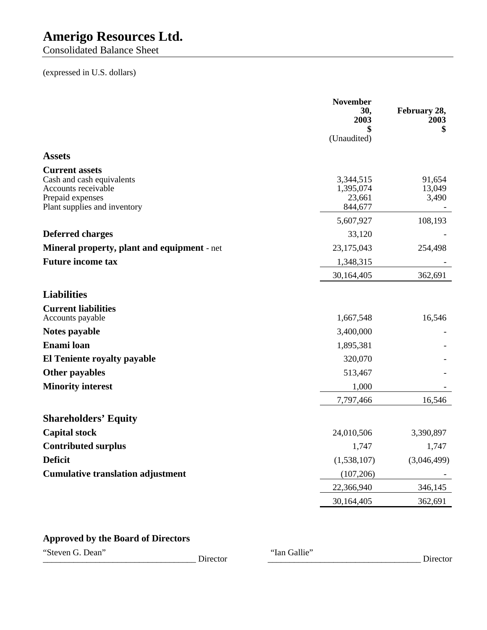Consolidated Balance Sheet

#### (expressed in U.S. dollars)

|                                                                                                                               | <b>November</b><br>30.<br>2003<br>(Unaudited) | February 28,<br>2003<br>\$ |
|-------------------------------------------------------------------------------------------------------------------------------|-----------------------------------------------|----------------------------|
| <b>Assets</b>                                                                                                                 |                                               |                            |
| <b>Current assets</b><br>Cash and cash equivalents<br>Accounts receivable<br>Prepaid expenses<br>Plant supplies and inventory | 3,344,515<br>1,395,074<br>23,661<br>844,677   | 91,654<br>13,049<br>3,490  |
|                                                                                                                               | 5,607,927                                     | 108,193                    |
| <b>Deferred charges</b>                                                                                                       | 33,120                                        |                            |
| Mineral property, plant and equipment - net                                                                                   | 23,175,043                                    | 254,498                    |
| <b>Future income tax</b>                                                                                                      | 1,348,315                                     |                            |
|                                                                                                                               | 30,164,405                                    | 362,691                    |
| <b>Liabilities</b>                                                                                                            |                                               |                            |
| <b>Current liabilities</b><br>Accounts payable                                                                                | 1,667,548                                     | 16,546                     |
| Notes payable                                                                                                                 | 3,400,000                                     |                            |
| Enami loan                                                                                                                    | 1,895,381                                     |                            |
| El Teniente royalty payable                                                                                                   | 320,070                                       |                            |
| Other payables                                                                                                                | 513,467                                       |                            |
| <b>Minority interest</b>                                                                                                      | 1,000                                         |                            |
|                                                                                                                               | 7,797,466                                     | 16,546                     |
| <b>Shareholders' Equity</b>                                                                                                   |                                               |                            |
| <b>Capital stock</b>                                                                                                          | 24,010,506                                    | 3,390,897                  |
| <b>Contributed surplus</b>                                                                                                    | 1,747                                         | 1,747                      |
| <b>Deficit</b>                                                                                                                | (1,538,107)                                   | (3,046,499)                |
| <b>Cumulative translation adjustment</b>                                                                                      | (107, 206)                                    |                            |
|                                                                                                                               | 22,366,940                                    | 346,145                    |
|                                                                                                                               | 30,164,405                                    | 362,691                    |

### **Approved by the Board of Directors**

"Steven G. Dean" Director "Ian Gallie"

\_\_\_\_\_\_\_\_\_\_\_\_\_\_\_\_\_\_\_\_\_\_\_\_\_\_\_\_\_\_\_\_\_\_\_ Director \_\_\_\_\_\_\_\_\_\_\_\_\_\_\_\_\_\_\_\_\_\_\_\_\_\_\_\_\_\_\_\_\_\_\_ Director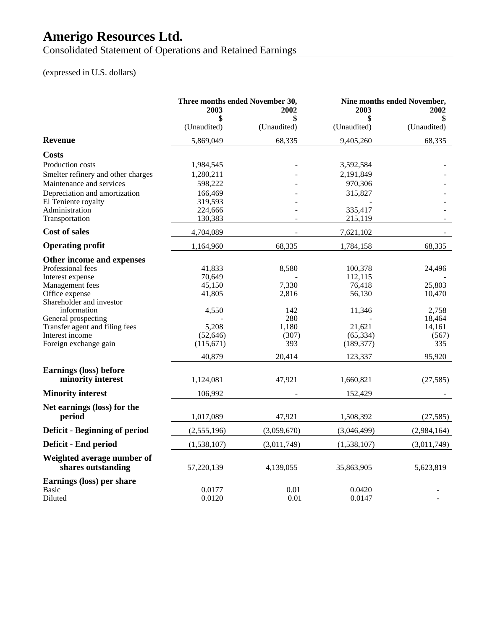Consolidated Statement of Operations and Retained Earnings

#### (expressed in U.S. dollars)

|                                                       | Three months ended November 30, |              | Nine months ended November, |                 |  |
|-------------------------------------------------------|---------------------------------|--------------|-----------------------------|-----------------|--|
|                                                       | 2003                            | 2002         | 2003                        | <b>2002</b>     |  |
|                                                       |                                 |              |                             |                 |  |
|                                                       | (Unaudited)                     | (Unaudited)  | (Unaudited)                 | (Unaudited)     |  |
| <b>Revenue</b>                                        | 5,869,049                       | 68,335       | 9,405,260                   | 68,335          |  |
| Costs                                                 |                                 |              |                             |                 |  |
| Production costs                                      | 1,984,545                       |              | 3,592,584                   |                 |  |
| Smelter refinery and other charges                    | 1,280,211                       |              | 2,191,849                   |                 |  |
| Maintenance and services                              | 598,222                         |              | 970,306                     |                 |  |
| Depreciation and amortization                         | 166.469                         |              | 315,827                     |                 |  |
| El Teniente royalty                                   | 319,593                         |              |                             |                 |  |
| Administration                                        | 224,666                         |              | 335,417                     |                 |  |
| Transportation                                        | 130,383                         |              | 215,119                     |                 |  |
| <b>Cost of sales</b>                                  | 4,704,089                       |              | 7,621,102                   |                 |  |
| <b>Operating profit</b>                               | 1,164,960                       | 68,335       | 1,784,158                   | 68,335          |  |
| Other income and expenses                             |                                 |              |                             |                 |  |
| Professional fees                                     | 41,833                          | 8,580        | 100,378                     | 24,496          |  |
| Interest expense                                      | 70,649                          |              | 112,115                     |                 |  |
| Management fees                                       | 45,150                          | 7,330        | 76,418                      | 25,803          |  |
| Office expense                                        | 41,805                          | 2,816        | 56,130                      | 10,470          |  |
| Shareholder and investor                              |                                 |              |                             |                 |  |
| information                                           | 4,550                           | 142          | 11,346                      | 2,758           |  |
| General prospecting<br>Transfer agent and filing fees | 5,208                           | 280<br>1,180 | 21,621                      | 18,464          |  |
| Interest income                                       | (52, 646)                       | (307)        | (65, 334)                   | 14,161<br>(567) |  |
| Foreign exchange gain                                 | (115,671)                       | 393          | (189, 377)                  | 335             |  |
|                                                       | 40,879                          | 20,414       | 123,337                     | 95,920          |  |
|                                                       |                                 |              |                             |                 |  |
| <b>Earnings (loss) before</b>                         |                                 |              |                             |                 |  |
| minority interest                                     | 1,124,081                       | 47,921       | 1,660,821                   | (27, 585)       |  |
| <b>Minority interest</b>                              | 106,992                         |              | 152,429                     |                 |  |
| Net earnings (loss) for the                           |                                 |              |                             |                 |  |
| period                                                | 1,017,089                       | 47,921       | 1,508,392                   | (27, 585)       |  |
| Deficit - Beginning of period                         | (2,555,196)                     | (3,059,670)  | (3,046,499)                 | (2,984,164)     |  |
| Deficit - End period                                  | (1,538,107)                     | (3,011,749)  | (1,538,107)                 | (3,011,749)     |  |
| Weighted average number of<br>shares outstanding      | 57,220,139                      | 4,139,055    | 35,863,905                  | 5,623,819       |  |
| Earnings (loss) per share                             |                                 |              |                             |                 |  |
| <b>Basic</b><br>Diluted                               | 0.0177<br>0.0120                | 0.01<br>0.01 | 0.0420<br>0.0147            |                 |  |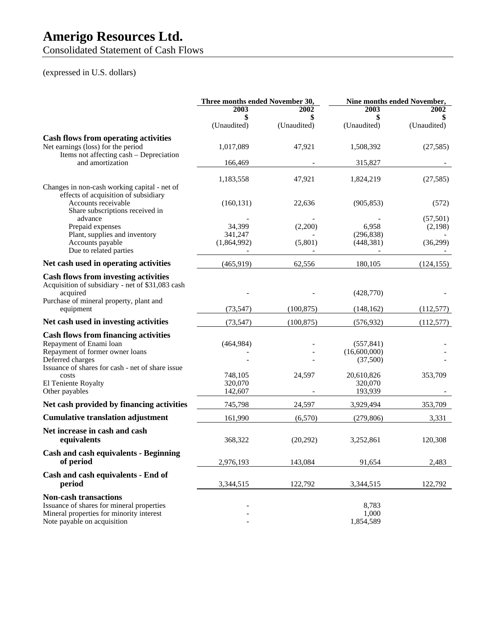Consolidated Statement of Cash Flows

### (expressed in U.S. dollars)

|                                                                                                                                                        | Three months ended November 30,  |                                  | Nine months ended November,            |                           |
|--------------------------------------------------------------------------------------------------------------------------------------------------------|----------------------------------|----------------------------------|----------------------------------------|---------------------------|
|                                                                                                                                                        | 2003<br>\$<br>(Unaudited)        | <b>2002</b><br>\$<br>(Unaudited) | 2003<br>\$<br>(Unaudited)              | 2002<br>\$<br>(Unaudited) |
| <b>Cash flows from operating activities</b><br>Net earnings (loss) for the period<br>Items not affecting cash - Depreciation                           | 1,017,089                        | 47,921                           | 1,508,392                              | (27, 585)                 |
| and amortization                                                                                                                                       | 166,469                          |                                  | 315,827                                |                           |
| Changes in non-cash working capital - net of<br>effects of acquisition of subsidiary                                                                   | 1,183,558                        | 47,921                           | 1,824,219                              | (27, 585)                 |
| Accounts receivable<br>Share subscriptions received in<br>advance                                                                                      | (160, 131)                       | 22,636                           | (905, 853)                             | (572)<br>(57, 501)        |
| Prepaid expenses<br>Plant, supplies and inventory<br>Accounts payable                                                                                  | 34,399<br>341,247<br>(1,864,992) | (2,200)<br>(5,801)               | 6,958<br>(296, 838)<br>(448, 381)      | (2,198)<br>(36,299)       |
| Due to related parties                                                                                                                                 |                                  |                                  |                                        |                           |
| Net cash used in operating activities                                                                                                                  | (465, 919)                       | 62,556                           | 180,105                                | (124, 155)                |
| <b>Cash flows from investing activities</b><br>Acquisition of subsidiary - net of \$31,083 cash<br>acquired<br>Purchase of mineral property, plant and |                                  |                                  | (428,770)                              |                           |
| equipment                                                                                                                                              | (73, 547)                        | (100, 875)                       | (148, 162)                             | (112,577)                 |
| Net cash used in investing activities                                                                                                                  | (73, 547)                        | (100, 875)                       | (576, 932)                             | (112, 577)                |
| <b>Cash flows from financing activities</b><br>Repayment of Enami loan<br>Repayment of former owner loans<br>Deferred charges                          | (464,984)                        |                                  | (557, 841)<br>(16,600,000)<br>(37,500) |                           |
| Issuance of shares for cash - net of share issue<br>costs<br>El Teniente Royalty<br>Other payables                                                     | 748,105<br>320,070<br>142,607    | 24,597                           | 20,610,826<br>320,070<br>193,939       | 353,709                   |
| Net cash provided by financing activities                                                                                                              | 745,798                          | 24,597                           | 3,929,494                              | 353,709                   |
| <b>Cumulative translation adjustment</b>                                                                                                               | 161,990                          | (6,570)                          | (279, 806)                             | 3,331                     |
| Net increase in cash and cash<br>equivalents                                                                                                           | 368,322                          | (20,292)                         | 3,252,861                              | 120,308                   |
| <b>Cash and cash equivalents - Beginning</b><br>of period                                                                                              | 2,976,193                        | 143,084                          | 91,654                                 | 2,483                     |
| Cash and cash equivalents - End of<br>period                                                                                                           | 3,344,515                        | 122,792                          | 3,344,515                              | 122,792                   |
| <b>Non-cash transactions</b><br>Issuance of shares for mineral properties<br>Mineral properties for minority interest<br>Note payable on acquisition   |                                  |                                  | 8,783<br>1,000<br>1,854,589            |                           |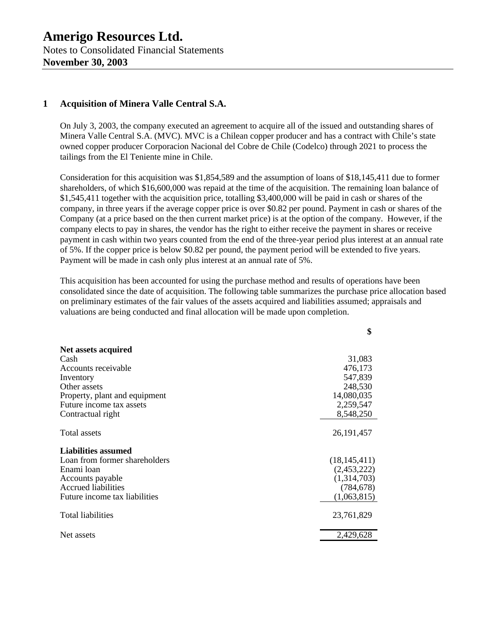#### **1 Acquisition of Minera Valle Central S.A.**

On July 3, 2003, the company executed an agreement to acquire all of the issued and outstanding shares of Minera Valle Central S.A. (MVC). MVC is a Chilean copper producer and has a contract with Chile's state owned copper producer Corporacion Nacional del Cobre de Chile (Codelco) through 2021 to process the tailings from the El Teniente mine in Chile.

Consideration for this acquisition was \$1,854,589 and the assumption of loans of \$18,145,411 due to former shareholders, of which \$16,600,000 was repaid at the time of the acquisition. The remaining loan balance of \$1,545,411 together with the acquisition price, totalling \$3,400,000 will be paid in cash or shares of the company, in three years if the average copper price is over \$0.82 per pound. Payment in cash or shares of the Company (at a price based on the then current market price) is at the option of the company. However, if the company elects to pay in shares, the vendor has the right to either receive the payment in shares or receive payment in cash within two years counted from the end of the three-year period plus interest at an annual rate of 5%. If the copper price is below \$0.82 per pound, the payment period will be extended to five years. Payment will be made in cash only plus interest at an annual rate of 5%.

This acquisition has been accounted for using the purchase method and results of operations have been consolidated since the date of acquisition. The following table summarizes the purchase price allocation based on preliminary estimates of the fair values of the assets acquired and liabilities assumed; appraisals and valuations are being conducted and final allocation will be made upon completion.

**\$**

| Net assets acquired           |                |
|-------------------------------|----------------|
| Cash                          | 31,083         |
| Accounts receivable           | 476,173        |
| Inventory                     | 547,839        |
| Other assets                  | 248,530        |
| Property, plant and equipment | 14,080,035     |
| Future income tax assets      | 2,259,547      |
| Contractual right             | 8,548,250      |
| Total assets                  | 26, 191, 457   |
| <b>Liabilities assumed</b>    |                |
| Loan from former shareholders | (18, 145, 411) |
| Enami loan                    | (2,453,222)    |
| Accounts payable              | (1,314,703)    |
| Accrued liabilities           | (784, 678)     |
| Future income tax liabilities | (1,063,815)    |
| Total liabilities             | 23,761,829     |
| Net assets                    | 2,429,628      |
|                               |                |